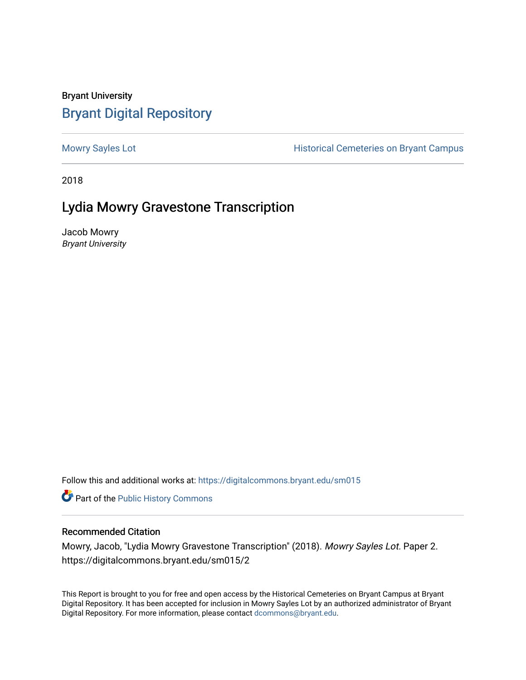## Bryant University [Bryant Digital Repository](https://digitalcommons.bryant.edu/)

[Mowry Sayles Lot](https://digitalcommons.bryant.edu/sm015) **Mowry Sayles Lot Historical Cemeteries on Bryant Campus** 

2018

## Lydia Mowry Gravestone Transcription

Jacob Mowry Bryant University

Follow this and additional works at: [https://digitalcommons.bryant.edu/sm015](https://digitalcommons.bryant.edu/sm015?utm_source=digitalcommons.bryant.edu%2Fsm015%2F2&utm_medium=PDF&utm_campaign=PDFCoverPages) 

**Part of the Public History Commons** 

## Recommended Citation

Mowry, Jacob, "Lydia Mowry Gravestone Transcription" (2018). Mowry Sayles Lot. Paper 2. https://digitalcommons.bryant.edu/sm015/2

This Report is brought to you for free and open access by the Historical Cemeteries on Bryant Campus at Bryant Digital Repository. It has been accepted for inclusion in Mowry Sayles Lot by an authorized administrator of Bryant Digital Repository. For more information, please contact [dcommons@bryant.edu](mailto:dcommons@bryant.edu).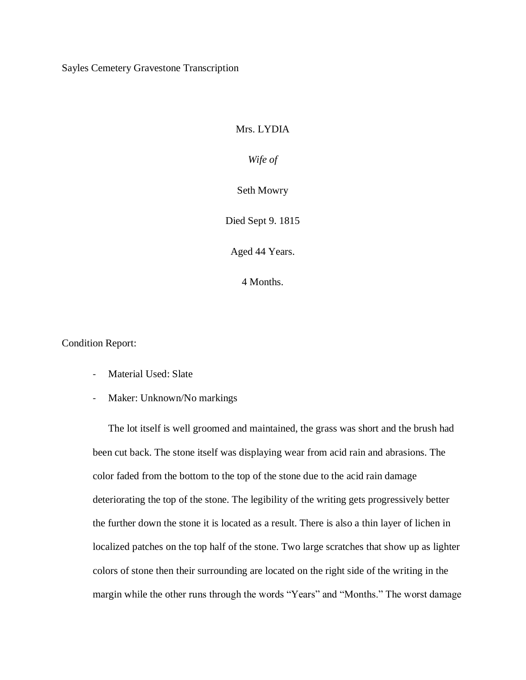Sayles Cemetery Gravestone Transcription

## Mrs. LYDIA

*Wife of*

Seth Mowry

Died Sept 9. 1815

Aged 44 Years.

4 Months.

Condition Report:

- Material Used: Slate
- Maker: Unknown/No markings

The lot itself is well groomed and maintained, the grass was short and the brush had been cut back. The stone itself was displaying wear from acid rain and abrasions. The color faded from the bottom to the top of the stone due to the acid rain damage deteriorating the top of the stone. The legibility of the writing gets progressively better the further down the stone it is located as a result. There is also a thin layer of lichen in localized patches on the top half of the stone. Two large scratches that show up as lighter colors of stone then their surrounding are located on the right side of the writing in the margin while the other runs through the words "Years" and "Months." The worst damage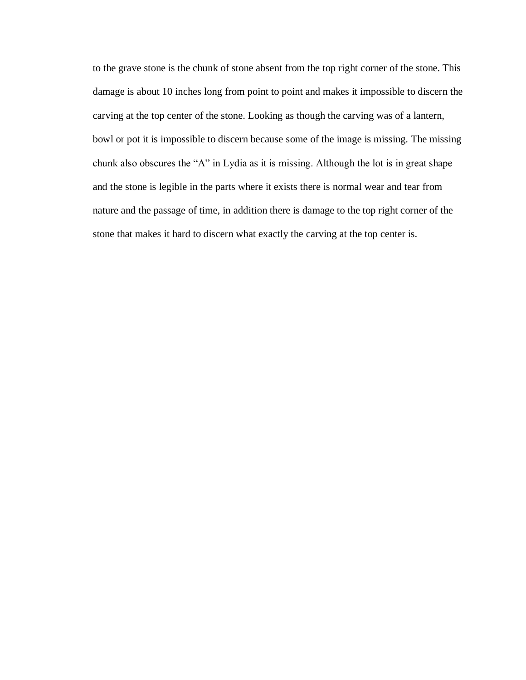to the grave stone is the chunk of stone absent from the top right corner of the stone. This damage is about 10 inches long from point to point and makes it impossible to discern the carving at the top center of the stone. Looking as though the carving was of a lantern, bowl or pot it is impossible to discern because some of the image is missing. The missing chunk also obscures the "A" in Lydia as it is missing. Although the lot is in great shape and the stone is legible in the parts where it exists there is normal wear and tear from nature and the passage of time, in addition there is damage to the top right corner of the stone that makes it hard to discern what exactly the carving at the top center is.